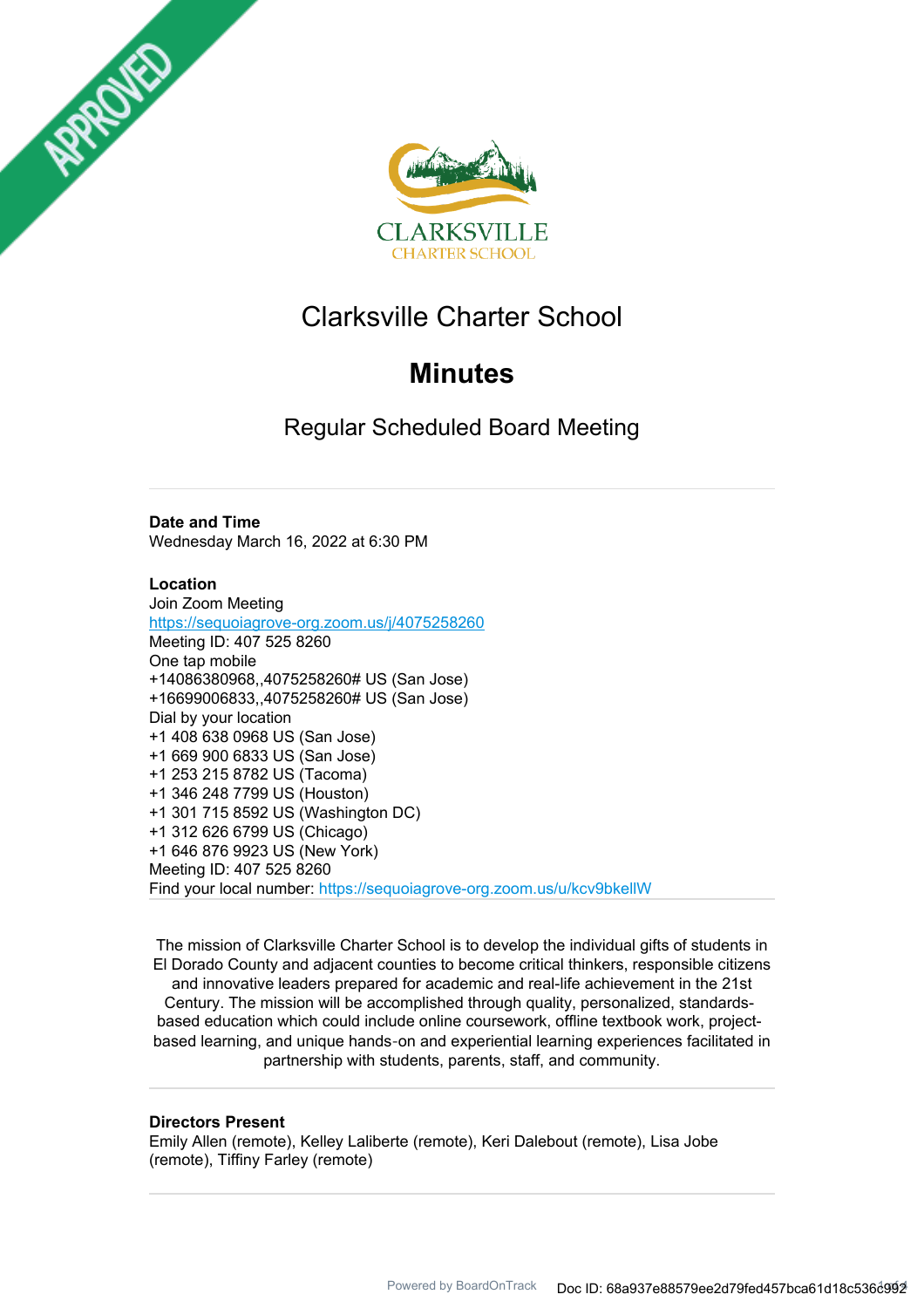



# Clarksville Charter School

# **Minutes**

Regular Scheduled Board Meeting

# **Date and Time**

Wednesday March 16, 2022 at 6:30 PM

## **Location**

Join Zoom Meeting https://sequoiagrove-org.zoom.us/j/4075258260 Meeting ID: 407 525 8260 One tap mobile +14086380968,,4075258260# US (San Jose) +16699006833,,4075258260# US (San Jose) Dial by your location +1 408 638 0968 US (San Jose) +1 669 900 6833 US (San Jose) +1 253 215 8782 US (Tacoma) +1 346 248 7799 US (Houston) +1 301 715 8592 US (Washington DC) +1 312 626 6799 US (Chicago) +1 646 876 9923 US (New York) Meeting ID: 407 525 8260 Find your local number: https://sequoiagrove-org.zoom.us/u/kcv9bkellW

The mission of Clarksville Charter School is to develop the individual gifts of students in El Dorado County and adjacent counties to become critical thinkers, responsible citizens and innovative leaders prepared for academic and real-life achievement in the 21st Century. The mission will be accomplished through quality, personalized, standardsbased education which could include online coursework, offline textbook work, projectbased learning, and unique hands‐on and experiential learning experiences facilitated in partnership with students, parents, staff, and community.

#### **Directors Present**

Emily Allen (remote), Kelley Laliberte (remote), Keri Dalebout (remote), Lisa Jobe (remote), Tiffiny Farley (remote)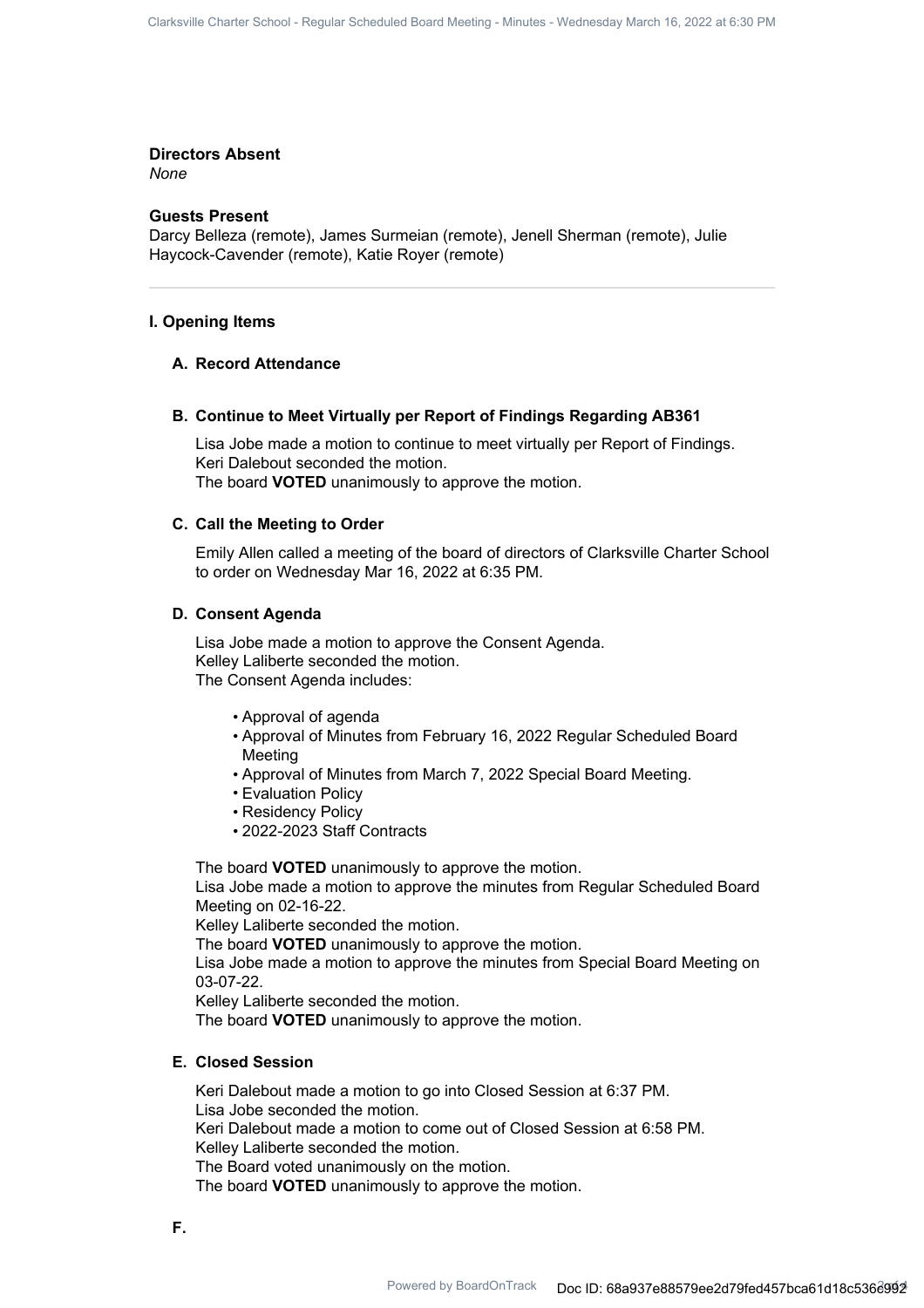#### **Directors Absent**

*None*

# **Guests Present**

Darcy Belleza (remote), James Surmeian (remote), Jenell Sherman (remote), Julie Haycock-Cavender (remote), Katie Royer (remote)

#### **I. Opening Items**

#### **A. Record Attendance**

## **B. Continue to Meet Virtually per Report of Findings Regarding AB361**

Lisa Jobe made a motion to continue to meet virtually per Report of Findings. Keri Dalebout seconded the motion. The board **VOTED** unanimously to approve the motion.

#### **C. Call the Meeting to Order**

Emily Allen called a meeting of the board of directors of Clarksville Charter School to order on Wednesday Mar 16, 2022 at 6:35 PM.

#### **D. Consent Agenda**

Lisa Jobe made a motion to approve the Consent Agenda. Kelley Laliberte seconded the motion. The Consent Agenda includes:

- Approval of agenda
- Approval of Minutes from February 16, 2022 Regular Scheduled Board Meeting
- Approval of Minutes from March 7, 2022 Special Board Meeting.
- Evaluation Policy
- Residency Policy
- 2022-2023 Staff Contracts

The board **VOTED** unanimously to approve the motion.

Lisa Jobe made a motion to approve the minutes from Regular Scheduled Board Meeting on 02-16-22.

Kelley Laliberte seconded the motion.

The board **VOTED** unanimously to approve the motion.

Lisa Jobe made a motion to approve the minutes from Special Board Meeting on 03-07-22.

Kelley Laliberte seconded the motion.

The board **VOTED** unanimously to approve the motion.

# **E. Closed Session**

Keri Dalebout made a motion to go into Closed Session at 6:37 PM. Lisa Jobe seconded the motion. Keri Dalebout made a motion to come out of Closed Session at 6:58 PM. Kelley Laliberte seconded the motion. The Board voted unanimously on the motion. The board **VOTED** unanimously to approve the motion.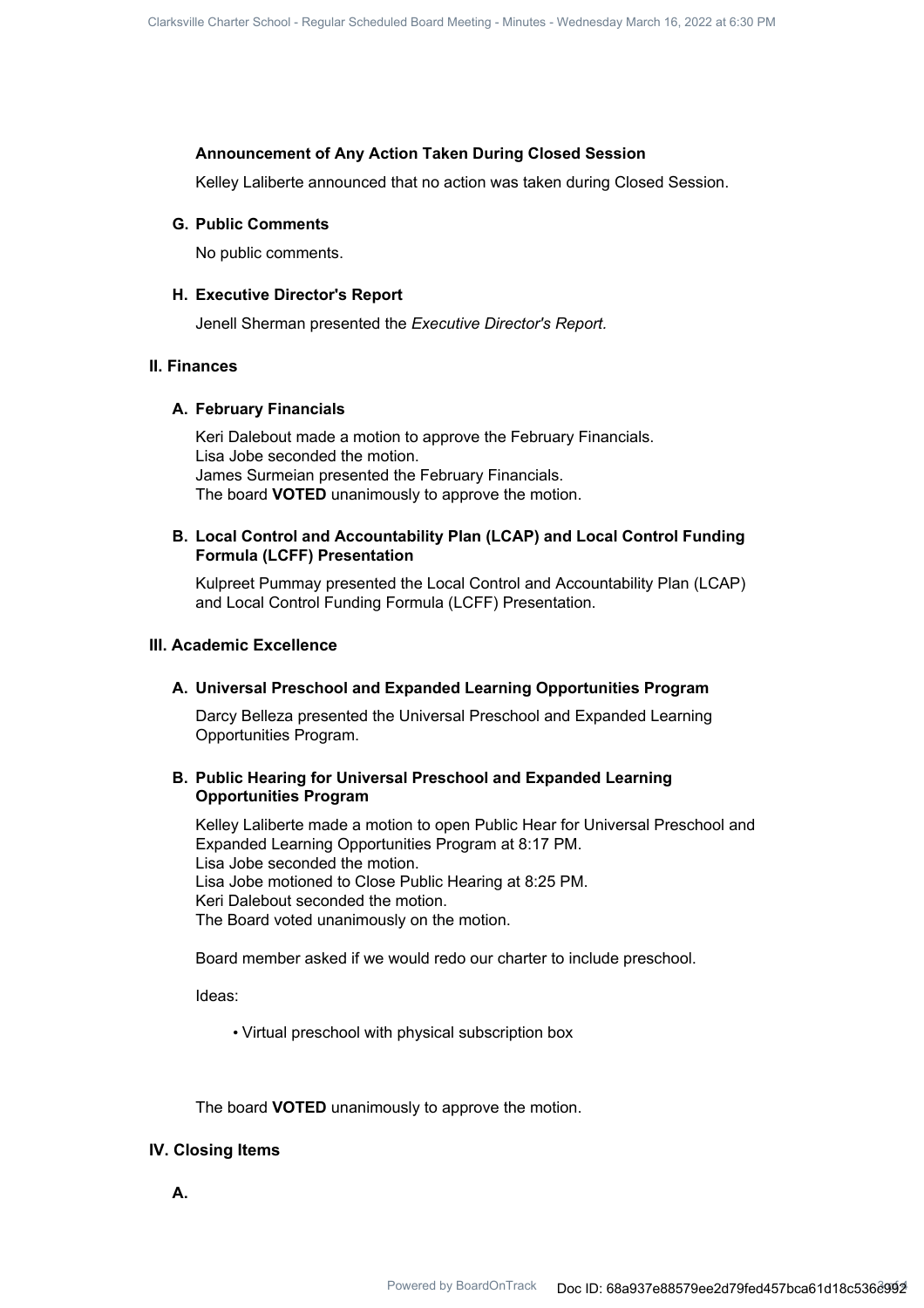## **Announcement of Any Action Taken During Closed Session**

Kelley Laliberte announced that no action was taken during Closed Session.

#### **G. Public Comments**

No public comments.

#### **H. Executive Director's Report**

Jenell Sherman presented the *Executive Director's Report.*

#### **II. Finances**

#### **A. February Financials**

Keri Dalebout made a motion to approve the February Financials. Lisa Jobe seconded the motion. James Surmeian presented the February Financials. The board **VOTED** unanimously to approve the motion.

# **Local Control and Accountability Plan (LCAP) and Local Control Funding B. Formula (LCFF) Presentation**

Kulpreet Pummay presented the Local Control and Accountability Plan (LCAP) and Local Control Funding Formula (LCFF) Presentation.

#### **III. Academic Excellence**

#### **A. Universal Preschool and Expanded Learning Opportunities Program**

Darcy Belleza presented the Universal Preschool and Expanded Learning Opportunities Program.

## **Public Hearing for Universal Preschool and Expanded Learning B. Opportunities Program**

Kelley Laliberte made a motion to open Public Hear for Universal Preschool and Expanded Learning Opportunities Program at 8:17 PM. Lisa Jobe seconded the motion. Lisa Jobe motioned to Close Public Hearing at 8:25 PM. Keri Dalebout seconded the motion. The Board voted unanimously on the motion.

Board member asked if we would redo our charter to include preschool.

Ideas:

• Virtual preschool with physical subscription box

The board **VOTED** unanimously to approve the motion.

#### **IV. Closing Items**

**A.**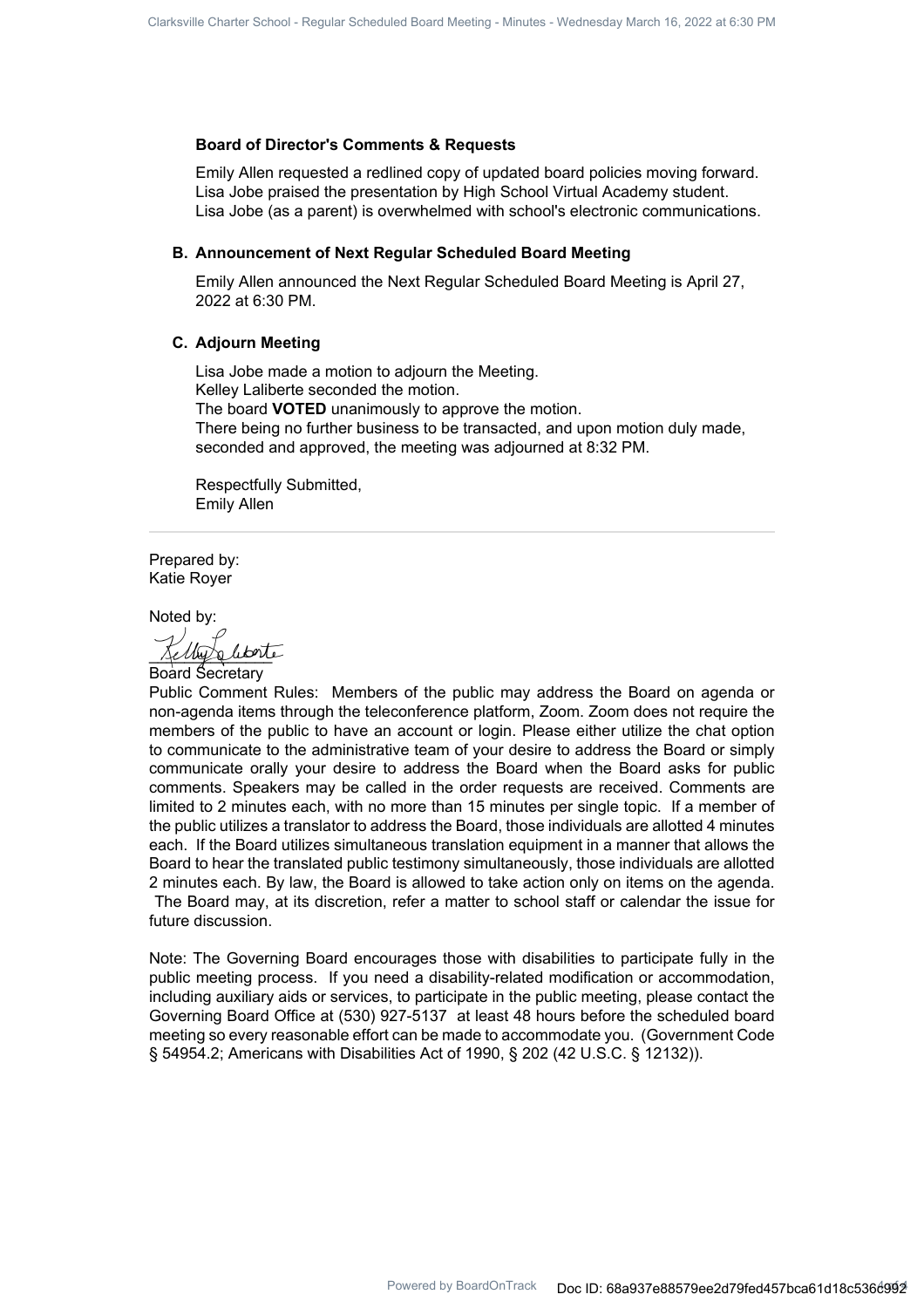#### **Board of Director's Comments & Requests**

Emily Allen requested a redlined copy of updated board policies moving forward. Lisa Jobe praised the presentation by High School Virtual Academy student. Lisa Jobe (as a parent) is overwhelmed with school's electronic communications.

#### **B. Announcement of Next Regular Scheduled Board Meeting**

Emily Allen announced the Next Regular Scheduled Board Meeting is April 27, 2022 at 6:30 PM.

#### **C. Adjourn Meeting**

Lisa Jobe made a motion to adjourn the Meeting. Kelley Laliberte seconded the motion. The board **VOTED** unanimously to approve the motion. There being no further business to be transacted, and upon motion duly made, seconded and approved, the meeting was adjourned at 8:32 PM.

Respectfully Submitted, Emily Allen

Prepared by: Katie Royer

Noted by:

Unta literté

Board Secretary

Public Comment Rules: Members of the public may address the Board on agenda or non-agenda items through the teleconference platform, Zoom. Zoom does not require the members of the public to have an account or login. Please either utilize the chat option to communicate to the administrative team of your desire to address the Board or simply communicate orally your desire to address the Board when the Board asks for public comments. Speakers may be called in the order requests are received. Comments are limited to 2 minutes each, with no more than 15 minutes per single topic. If a member of the public utilizes a translator to address the Board, those individuals are allotted 4 minutes each. If the Board utilizes simultaneous translation equipment in a manner that allows the Board to hear the translated public testimony simultaneously, those individuals are allotted 2 minutes each. By law, the Board is allowed to take action only on items on the agenda. The Board may, at its discretion, refer a matter to school staff or calendar the issue for future discussion.

Note: The Governing Board encourages those with disabilities to participate fully in the public meeting process. If you need a disability-related modification or accommodation, including auxiliary aids or services, to participate in the public meeting, please contact the Governing Board Office at (530) 927-5137 at least 48 hours before the scheduled board meeting so every reasonable effort can be made to accommodate you. (Government Code § 54954.2; Americans with Disabilities Act of 1990, § 202 (42 U.S.C. § 12132)).